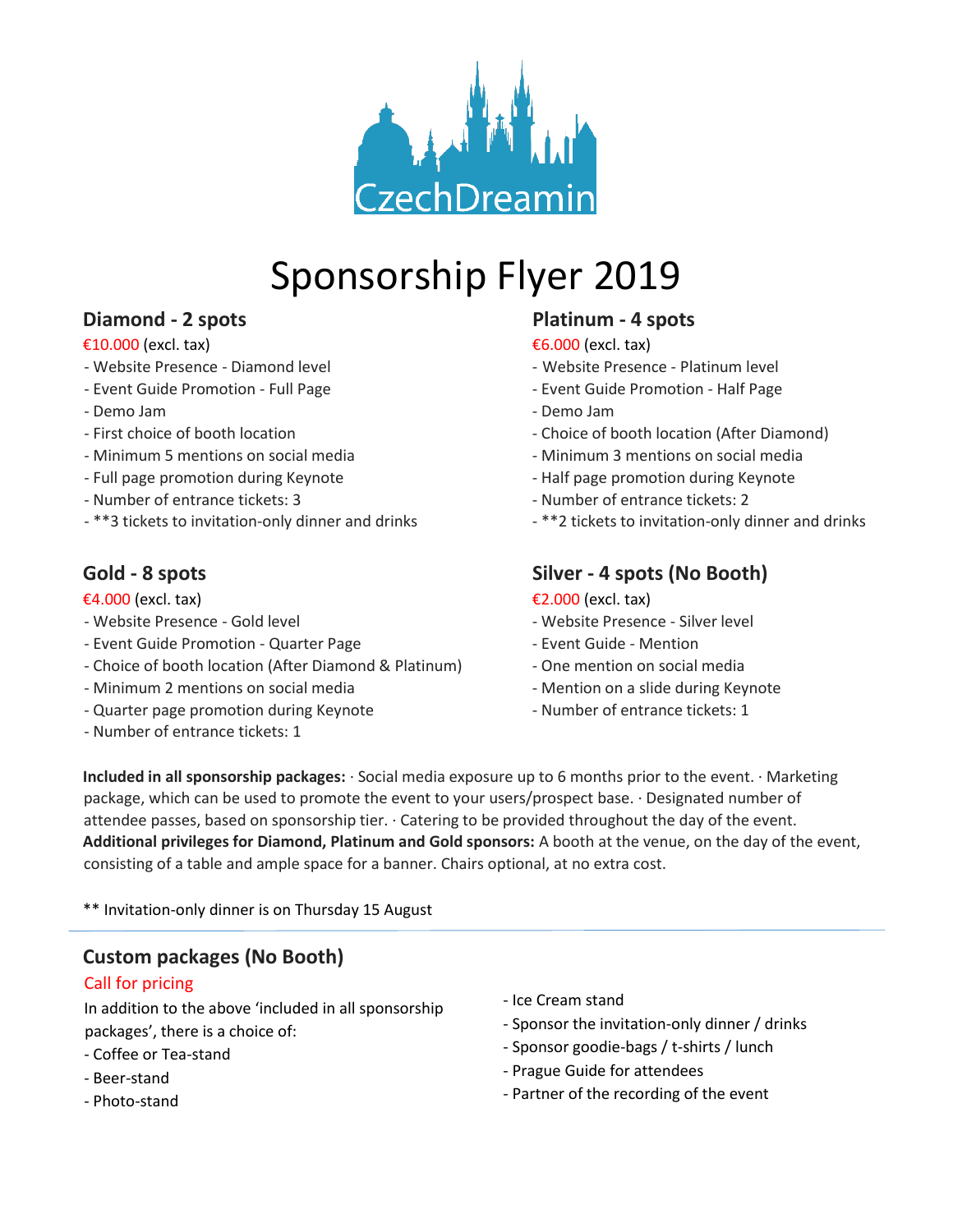

# Sponsorship Flyer 2019

## **Diamond - 2 spots Platinum - 4 spots**

#### $\epsilon$ 10.000 (excl. tax)  $\epsilon$ 6.000 (excl. tax)

- 
- 
- 
- 
- Minimum 5 mentions on social media Minimum 3 mentions on social media
- 
- Number of entrance tickets: 3 Number of entrance tickets: 2
- \*\*3 tickets to invitation-only dinner and drinks \*\*2 tickets to invitation-only dinner and drinks

- 
- Event Guide Promotion Quarter Page Network Event Guide Mention
- Choice of booth location (After Diamond & Platinum) One mention on social media
- Minimum 2 mentions on social media Mention on a slide during Keynote
- Quarter page promotion during Keynote Number of entrance tickets: 1
- Number of entrance tickets: 1

- Website Presence Diamond level And American Website Presence Platinum level
- Event Guide Promotion Full Page Event Guide Promotion Half Page
- Demo Jam Demo Jam
- First choice of booth location Choice of booth location (After Diamond)
	-
- Full page promotion during Keynote The Section of Half page promotion during Keynote
	-
	-

### Gold - 8 spots Silver - 4 spots (No Booth)

#### $\epsilon$ 4.000 (excl. tax)  $\epsilon$ 2.000 (excl. tax)

- Website Presence Gold level Website Presence Silver level
	-
	-
	-
	-

**Included in all sponsorship packages:** · Social media exposure up to 6 months prior to the event. · Marketing package, which can be used to promote the event to your users/prospect base. · Designated number of attendee passes, based on sponsorship tier. · Catering to be provided throughout the day of the event. **Additional privileges for Diamond, Platinum and Gold sponsors:** A booth at the venue, on the day of the event, consisting of a table and ample space for a banner. Chairs optional, at no extra cost.

\*\* Invitation-only dinner is on Thursday 15 August

## **Custom packages (No Booth)**

#### Call for pricing

In addition to the above 'included in all sponsorship packages', there is a choice of:

- Coffee or Tea-stand
- Beer-stand
- Photo-stand
- Ice Cream stand
- Sponsor the invitation-only dinner / drinks
- Sponsor goodie-bags / t-shirts / lunch
- Prague Guide for attendees
- Partner of the recording of the event